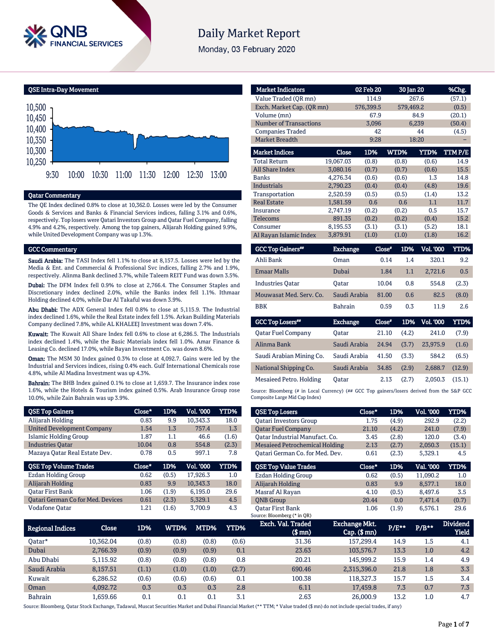

# **Daily Market Report**

Monday, 03 February 2020

QSE Intra-Day Movement



## Qatar Commentary

The QE Index declined 0.8% to close at 10,362.0. Losses were led by the Consumer Goods & Services and Banks & Financial Services indices, falling 3.1% and 0.6%, respectively. Top losers were Qatari Investors Group and Qatar Fuel Company, falling 4.9% and 4.2%, respectively. Among the top gainers, Alijarah Holding gained 9.9%, while United Development Company was up 1.3%.

#### GCC Commentary

Saudi Arabia: The TASI Index fell 1.1% to close at 8,157.5. Losses were led by the Media & Ent. and Commercial & Professional Svc indices, falling 2.7% and 1.9%, respectively. Alinma Bank declined 3.7%, while Taleem REIT Fund was down 3.5%.

Dubai: The DFM Index fell 0.9% to close at 2,766.4. The Consumer Staples and Discretionary index declined 2.0%, while the Banks index fell 1.1%. Ithmaar Holding declined 4.0%, while Dar Al Takaful was down 3.9%.

Abu Dhabi: The ADX General Index fell 0.8% to close at 5,115.9. The Industrial index declined 1.6%, while the Real Estate index fell 1.5%. Arkan Building Materials Company declined 7.8%, while AL KHALEEJ Investment was down 7.4%.

Kuwait: The Kuwait All Share Index fell 0.6% to close at 6,286.5. The Industrials index declined 1.4%, while the Basic Materials index fell 1.0%. Amar Finance & Leasing Co. declined 17.0%, while Bayan Investment Co. was down 8.6%.

Oman: The MSM 30 Index gained 0.3% to close at 4,092.7. Gains were led by the Industrial and Services indices, rising 0.4% each. Gulf International Chemicals rose 4.8%, while Al Madina Investment was up 4.3%.

Bahrain: The BHB Index gained 0.1% to close at 1,659.7. The Insurance index rose 1.6%, while the Hotels & Tourism index gained 0.5%. Arab Insurance Group rose 10.0%, while Zain Bahrain was up 3.9%.

| <b>QSE Top Gainers</b>                   | Close* | 1D%   | Vol. '000        | <b>YTD%</b> |
|------------------------------------------|--------|-------|------------------|-------------|
| Alijarah Holding                         | 0.83   | 9.9   | 10,343.3         | 18.0        |
| <b>United Development Company</b>        | 1.54   | 1.3   | 757.4            | 1.3         |
| Islamic Holding Group                    | 1.87   | 1.1   | 46.6             | (1.6)       |
| <b>Industries Oatar</b>                  | 10.04  | 0.8   | 554.8            | (2.3)       |
| Mazaya Oatar Real Estate Dev.            | 0.78   | 0.5   | 997.1            | 7.8         |
|                                          |        |       |                  |             |
| <b>QSE Top Volume Trades</b>             | Close* | 1D%   | <b>Vol. '000</b> | YTD%        |
| Ezdan Holding Group                      | 0.62   | (0.5) | 17.926.3         | 1.0         |
| Alijarah Holding                         | 0.83   | 9.9   | 10,343.3         | 18.0        |
| <b>Oatar First Bank</b>                  | 1.06   | (1.9) | 6,195.0          | 29.6        |
| <b>Qatari German Co for Med. Devices</b> | 0.61   | (2.3) | 5.329.1          | 4.5         |

| <b>Market Indicators</b>      |                 | 02 Feb 20 | 30 Jan 20   |                  | %Chg.  |
|-------------------------------|-----------------|-----------|-------------|------------------|--------|
| Value Traded (OR mn)          |                 | 114.9     |             | 267.6            | (57.1) |
| Exch. Market Cap. (QR mn)     |                 | 576.399.5 | 579.469.2   |                  | (0.5)  |
| Volume (mn)                   |                 | 67.9      |             | 84.9             | (20.1) |
| <b>Number of Transactions</b> |                 | 3,096     |             | 6,239            | (50.4) |
| <b>Companies Traded</b>       |                 | 42        |             | 44               | (4.5)  |
| Market Breadth                |                 | 9:28      |             | 18:20            |        |
| <b>Market Indices</b>         | Close           | 1D%       | WTD%        | <b>YTD%</b>      | TTMP/E |
| <b>Total Return</b>           | 19,067.03       | (0.8)     | (0.8)       | (0.6)            | 14.9   |
| <b>All Share Index</b>        | 3,080.16        | (0.7)     | (0.7)       | (0.6)            | 15.5   |
| <b>Banks</b>                  | 4.276.34        | (0.6)     | (0.6)       | 1.3              | 14.8   |
| <b>Industrials</b>            | 2.790.23        | (0.4)     | (0.4)       | (4.8)            | 19.6   |
| Transportation                | 2,520.59        | (0.5)     | (0.5)       | (1.4)            | 13.2   |
| <b>Real Estate</b>            | 1,581.59        | 0.6       | 0.6         | 1.1              | 11.7   |
| <b>Insurance</b>              | 2,747.19        | (0.2)     | (0.2)       | 0.5              | 15.7   |
| <b>Telecoms</b>               | 891.35          | (0.2)     | (0.2)       | (0.4)            | 15.2   |
| Consumer                      | 8,195.53        | (3.1)     | (3.1)       | (5.2)            | 18.1   |
| Al Rayan Islamic Index        | 3,879.91        | (1.0)     | (1.0)       | (1.8)            | 16.2   |
| <b>GCC Top Gainers**</b>      | <b>Exchange</b> | Close*    | 1D%         | <b>Vol. '000</b> | YTD%   |
| Ahli Bank                     | Oman            |           | 0.14<br>1.4 | 320.1            | 9.2    |
| <b>Emaar Malls</b>            | Dubai           |           | 1.1<br>1.84 | 2,721.6          | 0.5    |
| <b>Industries Oatar</b>       | <b>Oatar</b>    | 10.04     | 0.8         | 554.8            | (2.3)  |
| Mouwasat Med. Serv. Co.       | Saudi Arabia    | 81.00     | 0.6         | 82.5             | (8.0)  |
| <b>BBK</b>                    | <b>Bahrain</b>  |           | 0.59<br>0.3 | 11.9             | 2.6    |

| <b>GCC Top Losers**</b>   | <b>Exchange</b> | Close* | 1D%   | <b>Vol. '000</b> | YTD%   |
|---------------------------|-----------------|--------|-------|------------------|--------|
| <b>Oatar Fuel Company</b> | Oatar           | 21.10  | (4.2) | 241.0            | (7.9)  |
| Alinma Bank               | Saudi Arabia    | 24.94  | (3.7) | 23,975.9         | (1.6)  |
| Saudi Arabian Mining Co.  | Saudi Arabia    | 41.50  | (3.3) | 584.2            | (6.5)  |
| National Shipping Co.     | Saudi Arabia    | 34.85  | (2.9) | 2.688.7          | (12.9) |
| Mesaieed Petro. Holding   | Oatar           | 2.13   | (2.7) | 2.050.3          | (15.1) |

Source: Bloomberg (# in Local Currency) (## GCC Top gainers/losers derived from the S&P GCC Composite Large Mid Cap Index)

| <b>QSE Top Losers</b>                                  | Close*        | 1D%          | Vol. '000    | YTD%     |
|--------------------------------------------------------|---------------|--------------|--------------|----------|
| <b>Oatari Investors Group</b>                          | 1.75          | (4.9)        | 292.9        | (2.2)    |
| <b>Oatar Fuel Company</b>                              | 21.10         | (4.2)        | 241.0        | (7.9)    |
| Oatar Industrial Manufact. Co.                         | 3.45          | (2.8)        | 120.0        | (3.4)    |
| <b>Mesaieed Petrochemical Holding</b>                  | 2.13          | (2.7)        | 2.050.3      | (15.1)   |
| Oatari German Co. for Med. Dev.                        | 0.61          | (2.3)        | 5,329.1      | 4.5      |
| <b>OSE Top Value Trades</b>                            | Close*        | 1D%          | Val. '000    | YTD%     |
| Ezdan Holding Group                                    | 0.62          | (0.5)        | 11.090.2     | 1.0      |
| Alijarah Holding                                       | 0.83          | 9.9          | 8.577.1      | 18.0     |
| Masraf Al Rayan                                        | 4.10          | (0.5)        | 8.497.6      | 3.5      |
| <b>ONB</b> Group                                       | 20.44         | 0.0          | 7.471.4      | (0.7)    |
| <b>Oatar First Bank</b><br>Source: Bloomberg (* in QR) | 1.06          | (1.9)        | 6.576.1      | 29.6     |
| Exch. Val. Traded                                      | Exchange Mkt. | <b>P/F**</b> | <b>P/R**</b> | Dividend |

| Regional Indices | Close     | 1D%   | WTD%  | MTD%  | YTD%  | Exch. Val. Traded<br>$$$ mn $)$ | Exchange Mkt.<br>$Cap.$ ( $$rm)$ ) | P/E** | $P/B**$ | <b>Dividend</b><br>Yield |
|------------------|-----------|-------|-------|-------|-------|---------------------------------|------------------------------------|-------|---------|--------------------------|
| Oatar*           | 10.362.04 | (0.8) | (0.8) | (0.8) | (0.6) | 31.36                           | 157.299.4                          | 14.9  | 1.5     | 4.1                      |
| Dubai            | 2,766.39  | (0.9) | (0.9) | (0.9) | 0.1   | 23.63                           | 103.576.7                          | 13.3  | 1.0     | 4.2                      |
| Abu Dhabi        | 5.115.92  | (0.8) | (0.8) | (0.8) | 0.8   | 20.21                           | 145.999.2                          | 15.9  | 1.4     | 4.9                      |
| Saudi Arabia     | 8.157.51  | (1.1) | (1.0) | (1.0) | (2.7) | 690.46                          | 2.315.396.0                        | 21.8  | 1.8     | 3.3                      |
| Kuwait           | 6.286.52  | (0.6) | (0.6) | (0.6) | 0.1   | 100.38                          | 118.327.3                          | 15.7  | $1.5\,$ | 3.4                      |
| Oman             | 4.092.72  | 0.3   | 0.3   | 0.3   | 2.8   | 6.11                            | 17,459.8                           | 7.3   | 0.7     | 7.3                      |
| <b>Bahrain</b>   | L.659.66  | 0.1   | 0.1   | 0.1   | 3.1   | 2.63                            | 26,000.9                           | 13.2  | $1.0\,$ | 4.7                      |

Source: Bloomberg, Qatar Stock Exchange, Tadawul, Muscat Securities Market and Dubai Financial Market (\*\* TTM; \* Value traded (\$ mn) do not include special trades, if any)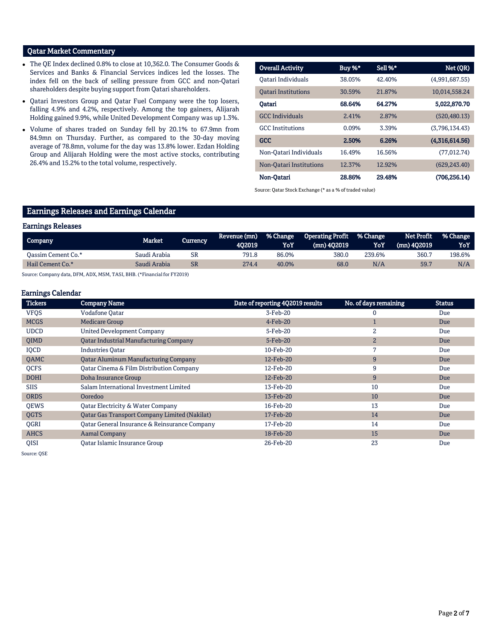## Qatar Market Commentary

- The QE Index declined 0.8% to close at 10,362.0. The Consumer Goods & Services and Banks & Financial Services indices led the losses. The index fell on the back of selling pressure from GCC and non-Qatari shareholders despite buying support from Qatari shareholders.
- Qatari Investors Group and Qatar Fuel Company were the top losers, falling 4.9% and 4.2%, respectively. Among the top gainers, Alijarah Holding gained 9.9%, while United Development Company was up 1.3%.
- Volume of shares traded on Sunday fell by 20.1% to 67.9mn from 84.9mn on Thursday. Further, as compared to the 30-day moving average of 78.8mn, volume for the day was 13.8% lower. Ezdan Holding Group and Alijarah Holding were the most active stocks, contributing 26.4% and 15.2% to the total volume, respectively.

| <b>Overall Activity</b>    | Buy %* | Sell %* | Net (QR)       |
|----------------------------|--------|---------|----------------|
| Oatari Individuals         | 38.05% | 42.40%  | (4,991,687.55) |
| <b>Oatari Institutions</b> | 30.59% | 21.87%  | 10,014,558.24  |
| Oatari                     | 68.64% | 64.27%  | 5,022,870.70   |
| <b>GCC</b> Individuals     | 2.41%  | 2.87%   | (520.480.13)   |
| <b>GCC</b> Institutions    | 0.09%  | 3.39%   | (3,796,134.43) |
| <b>GCC</b>                 | 2.50%  | 6.26%   | (4,316,614.56) |
| Non-Oatari Individuals     | 16.49% | 16.56%  | (77, 012.74)   |
| Non-Oatari Institutions    | 12.37% | 12.92%  | (629, 243.40)  |
| Non-Oatari                 | 28.86% | 29.48%  | (706.256.14)   |

Source: Qatar Stock Exchange (\* as a % of traded value)

## Earnings Releases and Earnings Calendar

### Earnings Releases

| <b>Company</b>     | Market 1     | Currencv  | Revenue (mn)<br>402019 | <b>% Change</b><br>YoY | <b>Operating Profit</b><br>(mn) 402019 | % Change<br>YoY | Net Profit<br>$(mn)$ 402019 | <b>1% Change</b><br>YoY |
|--------------------|--------------|-----------|------------------------|------------------------|----------------------------------------|-----------------|-----------------------------|-------------------------|
| Oassim Cement Co.* | Saudi Arabia | SR        | 791.8                  | 86.0%                  | 380.0                                  | 239.6%          | 360.7                       | 198.6%                  |
| Hail Cement Co.*   | Saudi Arabia | <b>SR</b> | 274.4                  | 40.0%                  | 68.0                                   | N/A             | 59.                         | N/A                     |

Source: Company data, DFM, ADX, MSM, TASI, BHB. (\*Financial for FY2019)

## Earnings Calendar

| <b>Tickers</b> | <b>Company Name</b>                                  | Date of reporting 4Q2019 results | No. of days remaining | <b>Status</b> |
|----------------|------------------------------------------------------|----------------------------------|-----------------------|---------------|
| <b>VFQS</b>    | <b>Vodafone Qatar</b>                                | 3-Feb-20                         | $\Omega$              | Due           |
| <b>MCGS</b>    | <b>Medicare Group</b>                                | $4$ -Feb-20                      |                       | Due           |
| <b>UDCD</b>    | <b>United Development Company</b>                    | 5-Feb-20                         | 2                     | Due           |
| <b>OIMD</b>    | <b>Qatar Industrial Manufacturing Company</b>        | 5-Feb-20                         | $\overline{2}$        | Due           |
| IQCD           | <b>Industries Oatar</b>                              | 10-Feb-20                        | 7                     | Due           |
| QAMC           | <b>Qatar Aluminum Manufacturing Company</b>          | 12-Feb-20                        | 9                     | Due           |
| <b>OCFS</b>    | Oatar Cinema & Film Distribution Company             | 12-Feb-20                        | 9                     | Due           |
| <b>DOHI</b>    | Doha Insurance Group                                 | 12-Feb-20                        | 9                     | Due           |
| <b>SIIS</b>    | Salam International Investment Limited               | 13-Feb-20                        | 10                    | Due           |
| <b>ORDS</b>    | Ooredoo                                              | 13-Feb-20                        | 10                    | Due           |
| <b>OEWS</b>    | Qatar Electricity & Water Company                    | 16-Feb-20                        | 13                    | Due           |
| <b>OGTS</b>    | <b>Qatar Gas Transport Company Limited (Nakilat)</b> | 17-Feb-20                        | 14                    | Due           |
| <b>OGRI</b>    | Qatar General Insurance & Reinsurance Company        | 17-Feb-20                        | 14                    | Due           |
| <b>AHCS</b>    | <b>Aamal Company</b>                                 | 18-Feb-20                        | 15                    | Due           |
| <b>OISI</b>    | Oatar Islamic Insurance Group                        | 26-Feb-20                        | 23                    | Due           |

Source: QSE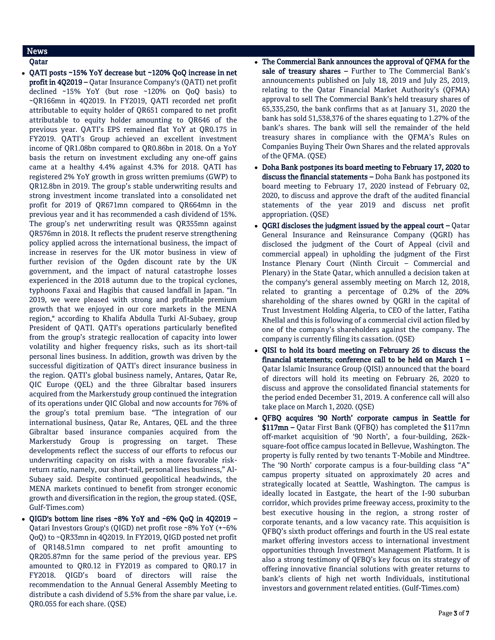## News

Qatar

- QATI posts ~15% YoY decrease but ~120% QoQ increase in net profit in 4Q2019 – Qatar Insurance Company's (QATI) net profit declined ~15% YoY (but rose ~120% on QoQ basis) to ~QR166mn in 4Q2019. In FY2019, QATI recorded net profit attributable to equity holder of QR651 compared to net profit attributable to equity holder amounting to QR646 of the previous year. QATI's EPS remained flat YoY at QR0.175 in FY2019. QATI's Group achieved an excellent investment income of QR1.08bn compared to QR0.86bn in 2018. On a YoY basis the return on investment excluding any one-off gains came at a healthy 4.4% against 4.3% for 2018. QATI has registered 2% YoY growth in gross written premiums (GWP) to QR12.8bn in 2019. The group's stable underwriting results and strong investment income translated into a consolidated net profit for 2019 of QR671mn compared to QR664mn in the previous year and it has recommended a cash dividend of 15%. The group's net underwriting result was QR355mn against QR576mn in 2018. It reflects the prudent reserve strengthening policy applied across the international business, the impact of increase in reserves for the UK motor business in view of further revision of the Ogden discount rate by the UK government, and the impact of natural catastrophe losses experienced in the 2018 autumn due to the tropical cyclones, typhoons Faxai and Hagibis that caused landfall in Japan. "In 2019, we were pleased with strong and profitable premium growth that we enjoyed in our core markets in the MENA region," according to Khalifa Abdulla Turki Al-Subaey, group President of QATI. QATI's operations particularly benefited from the group's strategic reallocation of capacity into lower volatility and higher frequency risks, such as its short-tail personal lines business. In addition, growth was driven by the successful digitization of QATI's direct insurance business in the region. QATI's global business namely, Antares, Qatar Re, QIC Europe (QEL) and the three Gibraltar based insurers acquired from the Markerstudy group continued the integration of its operations under QIC Global and now accounts for 76% of the group's total premium base. "The integration of our international business, Qatar Re, Antares, QEL and the three Gibraltar based insurance companies acquired from the Markerstudy Group is progressing on target. These developments reflect the success of our efforts to refocus our underwriting capacity on risks with a more favorable riskreturn ratio, namely, our short-tail, personal lines business," Al-Subaey said. Despite continued geopolitical headwinds, the MENA markets continued to benefit from stronger economic growth and diversification in the region, the group stated. (QSE, Gulf-Times.com)
- QIGD's bottom line rises ~8% YoY and ~6% QoQ in 4Q2019 Qatari Investors Group's (QIGD) net profit rose ~8% YoY (+~6% QoQ) to ~QR33mn in 4Q2019. In FY2019, QIGD posted net profit of QR148.51mn compared to net profit amounting to QR205.87mn for the same period of the previous year. EPS amounted to QR0.12 in FY2019 as compared to QR0.17 in FY2018. QIGD's board of directors will raise the recommendation to the Annual General Assembly Meeting to distribute a cash dividend of 5.5% from the share par value, i.e. QR0.055 for each share. (QSE)
- The Commercial Bank announces the approval of QFMA for the sale of treasury shares - Further to The Commercial Bank's announcements published on July 18, 2019 and July 25, 2019, relating to the Qatar Financial Market Authority's (QFMA) approval to sell The Commercial Bank's held treasury shares of 65,335,250, the bank confirms that as at January 31, 2020 the bank has sold 51,538,376 of the shares equating to 1.27% of the bank's shares. The bank will sell the remainder of the held treasury shares in compliance with the QFMA's Rules on Companies Buying Their Own Shares and the related approvals of the QFMA. (QSE)
- Doha Bank postpones its board meeting to February 17, 2020 to discuss the financial statements - Doha Bank has postponed its board meeting to February 17, 2020 instead of February 02, 2020, to discuss and approve the draft of the audited financial statements of the year 2019 and discuss net profit appropriation. (QSE)
- $\bullet$  QGRI discloses the judgment issued by the appeal court Qatar General Insurance and Reinsurance Company (QGRI) has disclosed the judgment of the Court of Appeal (civil and commercial appeal) in upholding the judgment of the First Instance Plenary Court (Ninth Circuit – Commercial and Plenary) in the State Qatar, which annulled a decision taken at the company's general assembly meeting on March 12, 2018, related to granting a percentage of 0.2% of the 20% shareholding of the shares owned by QGRI in the capital of Trust Investment Holding Algeria, to CEO of the latter, Fatiha Khellal and this is following of a commercial civil action filed by one of the company's shareholders against the company. The company is currently filing its cassation. (QSE)
- QISI to hold its board meeting on February 26 to discuss the financial statements; conference call to be held on March 1 – Qatar Islamic Insurance Group (QISI) announced that the board of directors will hold its meeting on February 26, 2020 to discuss and approve the consolidated financial statements for the period ended December 31, 2019. A conference call will also take place on March 1, 2020. (QSE)
- QFBQ acquires '90 North' corporate campus in Seattle for \$117mn – Qatar First Bank (QFBQ) has completed the \$117mn off-market acquisition of '90 North', a four-building, 262ksquare-foot office campus located in Bellevue, Washington. The property is fully rented by two tenants T-Mobile and Mindtree. The '90 North' corporate campus is a four-building class "A" campus property situated on approximately 20 acres and strategically located at Seattle, Washington. The campus is ideally located in Eastgate, the heart of the I-90 suburban corridor, which provides prime freeway access, proximity to the best executive housing in the region, a strong roster of corporate tenants, and a low vacancy rate. This acquisition is QFBQ's sixth product offerings and fourth in the US real estate market offering investors access to international investment opportunities through Investment Management Platform. It is also a strong testimony of QFBQ's key focus on its strategy of offering innovative financial solutions with greater returns to bank's clients of high net worth Individuals, institutional investors and government related entities. (Gulf-Times.com)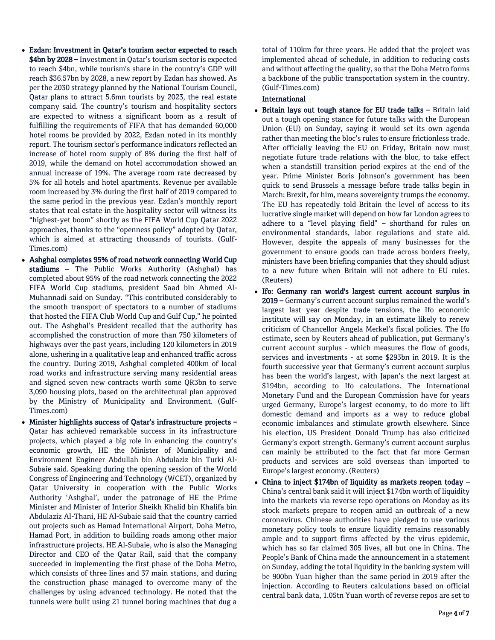- Ezdan: Investment in Qatar's tourism sector expected to reach \$4bn by 2028 – Investment in Qatar's tourism sector is expected to reach \$4bn, while tourism's share in the country's GDP will reach \$36.57bn by 2028, a new report by Ezdan has showed. As per the 2030 strategy planned by the National Tourism Council, Qatar plans to attract 5.6mn tourists by 2023, the real estate company said. The country's tourism and hospitality sectors are expected to witness a significant boom as a result of fulfilling the requirements of FIFA that has demanded 60,000 hotel rooms be provided by 2022, Ezdan noted in its monthly report. The tourism sector's performance indicators reflected an increase of hotel room supply of 8% during the first half of 2019, while the demand on hotel accommodation showed an annual increase of 19%. The average room rate decreased by 5% for all hotels and hotel apartments. Revenue per available room increased by 3% during the first half of 2019 compared to the same period in the previous year. Ezdan's monthly report states that real estate in the hospitality sector will witness its "highest-yet boom" shortly as the FIFA World Cup Qatar 2022 approaches, thanks to the "openness policy" adopted by Qatar, which is aimed at attracting thousands of tourists. (Gulf-Times.com)
- Ashghal completes 95% of road network connecting World Cup stadiums - The Public Works Authority (Ashghal) has completed about 95% of the road network connecting the 2022 FIFA World Cup stadiums, president Saad bin Ahmed Al-Muhannadi said on Sunday. "This contributed considerably to the smooth transport of spectators to a number of stadiums that hosted the FIFA Club World Cup and Gulf Cup," he pointed out. The Ashghal's President recalled that the authority has accomplished the construction of more than 750 kilometers of highways over the past years, including 120 kilometers in 2019 alone, ushering in a qualitative leap and enhanced traffic across the country. During 2019, Ashghal completed 400km of local road works and infrastructure serving many residential areas and signed seven new contracts worth some QR3bn to serve 3,090 housing plots, based on the architectural plan approved by the Ministry of Municipality and Environment. (Gulf-Times.com)
- Minister highlights success of Qatar's infrastructure projects Qatar has achieved remarkable success in its infrastructure projects, which played a big role in enhancing the country's economic growth, HE the Minister of Municipality and Environment Engineer Abdullah bin Abdulaziz bin Turki Al-Subaie said. Speaking during the opening session of the World Congress of Engineering and Technology (WCET), organized by Qatar University in cooperation with the Public Works Authority 'Ashghal', under the patronage of HE the Prime Minister and Minister of Interior Sheikh Khalid bin Khalifa bin Abdulaziz Al-Thani, HE Al-Subaie said that the country carried out projects such as Hamad International Airport, Doha Metro, Hamad Port, in addition to building roads among other major infrastructure projects. HE Al-Subaie, who is also the Managing Director and CEO of the Qatar Rail, said that the company succeeded in implementing the first phase of the Doha Metro, which consists of three lines and 37 main stations, and during the construction phase managed to overcome many of the challenges by using advanced technology. He noted that the tunnels were built using 21 tunnel boring machines that dug a

total of 110km for three years. He added that the project was implemented ahead of schedule, in addition to reducing costs and without affecting the quality, so that the Doha Metro forms a backbone of the public transportation system in the country. (Gulf-Times.com)

## International

- Britain lays out tough stance for EU trade talks Britain laid out a tough opening stance for future talks with the European Union (EU) on Sunday, saying it would set its own agenda rather than meeting the bloc's rules to ensure frictionless trade. After officially leaving the EU on Friday, Britain now must negotiate future trade relations with the bloc, to take effect when a standstill transition period expires at the end of the year. Prime Minister Boris Johnson's government has been quick to send Brussels a message before trade talks begin in March: Brexit, for him, means sovereignty trumps the economy. The EU has repeatedly told Britain the level of access to its lucrative single market will depend on how far London agrees to adhere to a "level playing field" – shorthand for rules on environmental standards, labor regulations and state aid. However, despite the appeals of many businesses for the government to ensure goods can trade across borders freely, ministers have been briefing companies that they should adjust to a new future when Britain will not adhere to EU rules. (Reuters)
- Ifo: Germany ran world's largest current account surplus in 2019 – Germany's current account surplus remained the world's largest last year despite trade tensions, the Ifo economic institute will say on Monday, in an estimate likely to renew criticism of Chancellor Angela Merkel's fiscal policies. The Ifo estimate, seen by Reuters ahead of publication, put Germany's current account surplus - which measures the flow of goods, services and investments - at some \$293bn in 2019. It is the fourth successive year that Germany's current account surplus has been the world's largest, with Japan's the next largest at \$194bn, according to Ifo calculations. The International Monetary Fund and the European Commission have for years urged Germany, Europe's largest economy, to do more to lift domestic demand and imports as a way to reduce global economic imbalances and stimulate growth elsewhere. Since his election, US President Donald Trump has also criticized Germany's export strength. Germany's current account surplus can mainly be attributed to the fact that far more German products and services are sold overseas than imported to Europe's largest economy. (Reuters)
- China to inject \$174bn of liquidity as markets reopen today China's central bank said it will inject \$174bn worth of liquidity into the markets via reverse repo operations on Monday as its stock markets prepare to reopen amid an outbreak of a new coronavirus. Chinese authorities have pledged to use various monetary policy tools to ensure liquidity remains reasonably ample and to support firms affected by the virus epidemic, which has so far claimed 305 lives, all but one in China. The People's Bank of China made the announcement in a statement on Sunday, adding the total liquidity in the banking system will be 900bn Yuan higher than the same period in 2019 after the injection. According to Reuters calculations based on official central bank data, 1.05tn Yuan worth of reverse repos are set to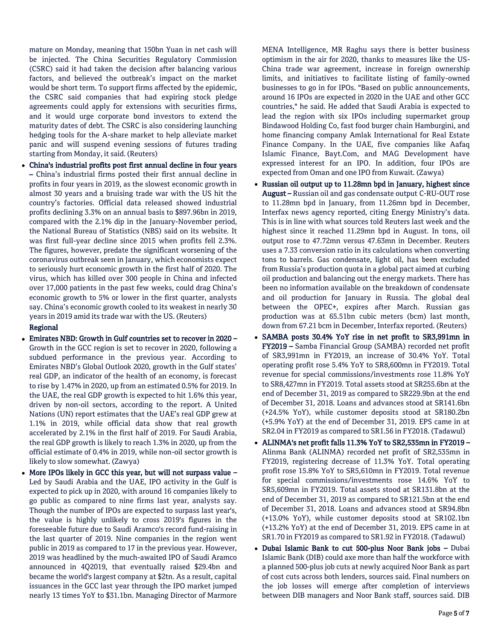mature on Monday, meaning that 150bn Yuan in net cash will be injected. The China Securities Regulatory Commission (CSRC) said it had taken the decision after balancing various factors, and believed the outbreak's impact on the market would be short term. To support firms affected by the epidemic, the CSRC said companies that had expiring stock pledge agreements could apply for extensions with securities firms, and it would urge corporate bond investors to extend the maturity dates of debt. The CSRC is also considering launching hedging tools for the A-share market to help alleviate market panic and will suspend evening sessions of futures trading starting from Monday, it said. (Reuters)

 China's industrial profits post first annual decline in four years – China's industrial firms posted their first annual decline in profits in four years in 2019, as the slowest economic growth in almost 30 years and a bruising trade war with the US hit the country's factories. Official data released showed industrial profits declining 3.3% on an annual basis to \$897.96bn in 2019, compared with the 2.1% dip in the January-November period, the National Bureau of Statistics (NBS) said on its website. It was first full-year decline since 2015 when profits fell 2.3%. The figures, however, predate the significant worsening of the coronavirus outbreak seen in January, which economists expect to seriously hurt economic growth in the first half of 2020. The virus, which has killed over 300 people in China and infected over 17,000 patients in the past few weeks, could drag China's economic growth to 5% or lower in the first quarter, analysts say. China's economic growth cooled to its weakest in nearly 30 years in 2019 amid its trade war with the US. (Reuters)

## Regional

- Emirates NBD: Growth in Gulf countries set to recover in 2020 Growth in the GCC region is set to recover in 2020, following a subdued performance in the previous year. According to Emirates NBD's Global Outlook 2020, growth in the Gulf states' real GDP, an indicator of the health of an economy, is forecast to rise by 1.47% in 2020, up from an estimated 0.5% for 2019. In the UAE, the real GDP growth is expected to hit 1.6% this year, driven by non-oil sectors, according to the report. A United Nations (UN) report estimates that the UAE's real GDP grew at 1.1% in 2019, while official data show that real growth accelerated by 2.1% in the first half of 2019. For Saudi Arabia, the real GDP growth is likely to reach 1.3% in 2020, up from the official estimate of 0.4% in 2019, while non-oil sector growth is likely to slow somewhat. (Zawya)
- More IPOs likely in GCC this year, but will not surpass value Led by Saudi Arabia and the UAE, IPO activity in the Gulf is expected to pick up in 2020, with around 16 companies likely to go public as compared to nine firms last year, analysts say. Though the number of IPOs are expected to surpass last year's, the value is highly unlikely to cross 2019's figures in the foreseeable future due to Saudi Aramco's record fund-raising in the last quarter of 2019. Nine companies in the region went public in 2019 as compared to 17 in the previous year. However, 2019 was headlined by the much-awaited IPO of Saudi Aramco announced in 4Q2019, that eventually raised \$29.4bn and became the world's largest company at \$2tn. As a result, capital issuances in the GCC last year through the IPO market jumped nearly 13 times YoY to \$31.1bn. Managing Director of Marmore

MENA Intelligence, MR Raghu says there is better business optimism in the air for 2020, thanks to measures like the US-China trade war agreement, increase in foreign ownership limits, and initiatives to facilitate listing of family-owned businesses to go in for IPOs. "Based on public announcements, around 16 IPOs are expected in 2020 in the UAE and other GCC countries," he said. He added that Saudi Arabia is expected to lead the region with six IPOs including supermarket group Bindawood Holding Co, fast food burger chain Hamburgini, and home financing company Amlak International for Real Estate Finance Company. In the UAE, five companies like Aafaq Islamic Finance, Bayt.Com, and MAG Development have expressed interest for an IPO. In addition, four IPOs are expected from Oman and one IPO from Kuwait. (Zawya)

- Russian oil output up to 11.28mn bpd in January, highest since August – Russian oil and gas condensate output C-RU-OUT rose to 11.28mn bpd in January, from 11.26mn bpd in December, Interfax news agency reported, citing Energy Ministry's data. This is in line with what sources told Reuters last week and the highest since it reached 11.29mn bpd in August. In tons, oil output rose to 47.72mn versus 47.63mn in December. Reuters uses a 7.33 conversion ratio in its calculations when converting tons to barrels. Gas condensate, light oil, has been excluded from Russia's production quota in a global pact aimed at curbing oil production and balancing out the energy markets. There has been no information available on the breakdown of condensate and oil production for January in Russia. The global deal between the OPEC+, expires after March. Russian gas production was at 65.51bn cubic meters (bcm) last month, down from 67.21 bcm in December, Interfax reported. (Reuters)
- SAMBA posts 30.4% YoY rise in net profit to SR3,991mn in FY2019 – Samba Financial Group (SAMBA) recorded net profit of SR3,991mn in FY2019, an increase of 30.4% YoY. Total operating profit rose 5.4% YoY to SR8,600mn in FY2019. Total revenue for special commissions/investments rose 11.8% YoY to SR8,427mn in FY2019. Total assets stood at SR255.6bn at the end of December 31, 2019 as compared to SR229.9bn at the end of December 31, 2018. Loans and advances stood at SR141.6bn (+24.5% YoY), while customer deposits stood at SR180.2bn (+5.9% YoY) at the end of December 31, 2019. EPS came in at SR2.04 in FY2019 as compared to SR1.56 in FY2018. (Tadawul)
- ALINMA's net profit falls 11.3% YoY to SR2,535mn in FY2019 Alinma Bank (ALINMA) recorded net profit of SR2,535mn in FY2019, registering decrease of 11.3% YoY. Total operating profit rose 15.8% YoY to SR5,610mn in FY2019. Total revenue for special commissions/investments rose 14.6% YoY to SR5,609mn in FY2019. Total assets stood at SR131.8bn at the end of December 31, 2019 as compared to SR121.5bn at the end of December 31, 2018. Loans and advances stood at SR94.8bn (+13.0% YoY), while customer deposits stood at SR102.1bn (+13.2% YoY) at the end of December 31, 2019. EPS came in at SR1.70 in FY2019 as compared to SR1.92 in FY2018. (Tadawul)
- Dubai Islamic Bank to cut 500-plus Noor Bank jobs Dubai Islamic Bank (DIB) could axe more than half the workforce with a planned 500-plus job cuts at newly acquired Noor Bank as part of cost cuts across both lenders, sources said. Final numbers on the job losses will emerge after completion of interviews between DIB managers and Noor Bank staff, sources said. DIB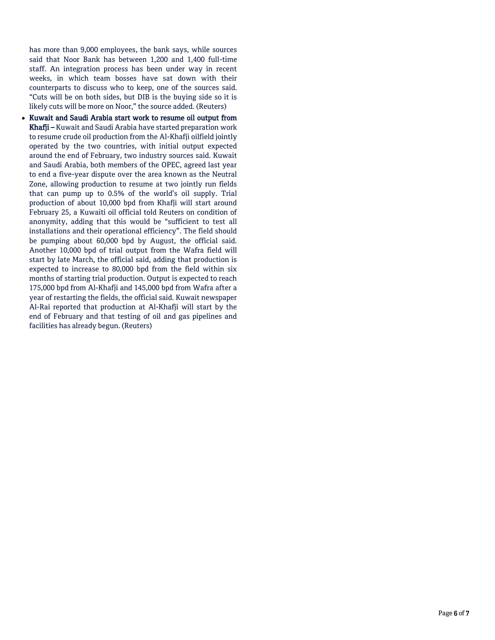has more than 9,000 employees, the bank says, while sources said that Noor Bank has between 1,200 and 1,400 full-time staff. An integration process has been under way in recent weeks, in which team bosses have sat down with their counterparts to discuss who to keep, one of the sources said. "Cuts will be on both sides, but DIB is the buying side so it is likely cuts will be more on Noor," the source added. (Reuters)

 Kuwait and Saudi Arabia start work to resume oil output from Khafji – Kuwait and Saudi Arabia have started preparation work to resume crude oil production from the Al-Khafji oilfield jointly operated by the two countries, with initial output expected around the end of February, two industry sources said. Kuwait and Saudi Arabia, both members of the OPEC, agreed last year to end a five-year dispute over the area known as the Neutral Zone, allowing production to resume at two jointly run fields that can pump up to 0.5% of the world's oil supply. Trial production of about 10,000 bpd from Khafji will start around February 25, a Kuwaiti oil official told Reuters on condition of anonymity, adding that this would be "sufficient to test all installations and their operational efficiency". The field should be pumping about 60,000 bpd by August, the official said. Another 10,000 bpd of trial output from the Wafra field will start by late March, the official said, adding that production is expected to increase to 80,000 bpd from the field within six months of starting trial production. Output is expected to reach 175,000 bpd from Al-Khafji and 145,000 bpd from Wafra after a year of restarting the fields, the official said. Kuwait newspaper Al-Rai reported that production at Al-Khafji will start by the end of February and that testing of oil and gas pipelines and facilities has already begun. (Reuters)